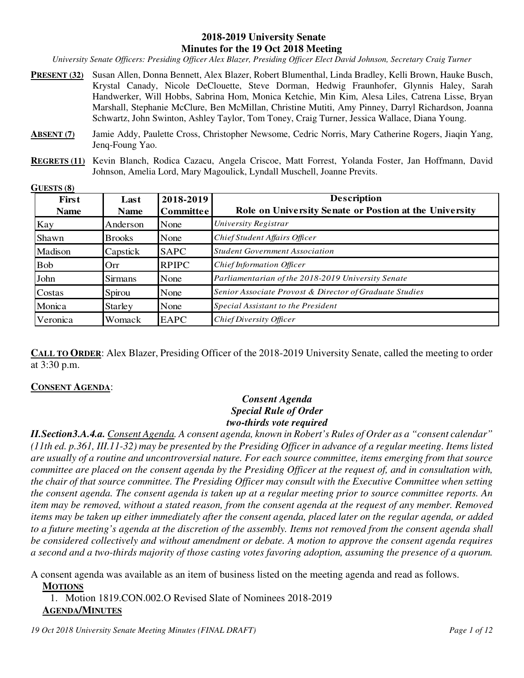#### **2018-2019 University Senate Minutes for the 19 Oct 2018 Meeting**

*University Senate Officers: Presiding Officer Alex Blazer, Presiding Officer Elect David Johnson, Secretary Craig Turner* 

- **PRESENT (32)** Susan Allen, Donna Bennett, Alex Blazer, Robert Blumenthal, Linda Bradley, Kelli Brown, Hauke Busch, Krystal Canady, Nicole DeClouette, Steve Dorman, Hedwig Fraunhofer, Glynnis Haley, Sarah Handwerker, Will Hobbs, Sabrina Hom, Monica Ketchie, Min Kim, Alesa Liles, Catrena Lisse, Bryan Marshall, Stephanie McClure, Ben McMillan, Christine Mutiti, Amy Pinney, Darryl Richardson, Joanna Schwartz, John Swinton, Ashley Taylor, Tom Toney, Craig Turner, Jessica Wallace, Diana Young.
- **ABSENT (7)** Jamie Addy, Paulette Cross, Christopher Newsome, Cedric Norris, Mary Catherine Rogers, Jiaqin Yang, Jenq-Foung Yao.
- **REGRETS (11)** Kevin Blanch, Rodica Cazacu, Angela Criscoe, Matt Forrest, Yolanda Foster, Jan Hoffmann, David Johnson, Amelia Lord, Mary Magoulick, Lyndall Muschell, Joanne Previts.

**GUESTS (8)**

| First       | Last           | 2018-2019        | <b>Description</b>                                      |
|-------------|----------------|------------------|---------------------------------------------------------|
| <b>Name</b> | <b>Name</b>    | <b>Committee</b> | Role on University Senate or Postion at the University  |
| Kay         | Anderson       | None             | University Registrar                                    |
| Shawn       | <b>Brooks</b>  | None             | Chief Student Affairs Officer                           |
| Madison     | Capstick       | <b>SAPC</b>      | <b>Student Government Association</b>                   |
| <b>Bob</b>  | Orr            | <b>RPIPC</b>     | Chief Information Officer                               |
| John        | <b>Sirmans</b> | None             | Parliamentarian of the 2018-2019 University Senate      |
| Costas      | Spirou         | None             | Senior Associate Provost & Director of Graduate Studies |
| Monica      | <b>Starley</b> | None             | Special Assistant to the President                      |
| Veronica    | Womack         | <b>EAPC</b>      | Chief Diversity Officer                                 |

**CALL TO ORDER:** Alex Blazer, Presiding Officer of the 2018-2019 University Senate, called the meeting to order at 3:30 p.m.

#### **CONSENT AGENDA**:

### *Consent Agenda Special Rule of Order two-thirds vote required*

*II.Section3.A.4.a. Consent Agenda. A consent agenda, known in Robert's Rules of Order as a "consent calendar" (11th ed. p.361, III.11-32) may be presented by the Presiding Officer in advance of a regular meeting. Items listed are usually of a routine and uncontroversial nature. For each source committee, items emerging from that source committee are placed on the consent agenda by the Presiding Officer at the request of, and in consultation with, the chair of that source committee. The Presiding Officer may consult with the Executive Committee when setting the consent agenda. The consent agenda is taken up at a regular meeting prior to source committee reports. An item may be removed, without a stated reason, from the consent agenda at the request of any member. Removed items may be taken up either immediately after the consent agenda, placed later on the regular agenda, or added to a future meeting's agenda at the discretion of the assembly. Items not removed from the consent agenda shall be considered collectively and without amendment or debate. A motion to approve the consent agenda requires a second and a two-thirds majority of those casting votes favoring adoption, assuming the presence of a quorum.* 

A consent agenda was available as an item of business listed on the meeting agenda and read as follows.

**MOTIONS**

1. Motion 1819.CON.002.O Revised Slate of Nominees 2018-2019 **AGENDA/MINUTES**

*19 Oct 2018 University Senate Meeting Minutes (FINAL DRAFT) Page 1 of 12*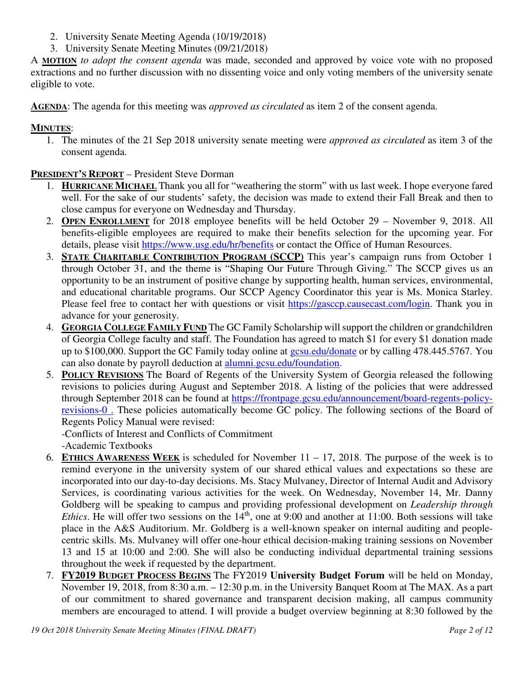- 2. University Senate Meeting Agenda (10/19/2018)
- 3. University Senate Meeting Minutes (09/21/2018)

A **MOTION** *to adopt the consent agenda* was made, seconded and approved by voice vote with no proposed extractions and no further discussion with no dissenting voice and only voting members of the university senate eligible to vote.

**AGENDA**: The agenda for this meeting was *approved as circulated* as item 2 of the consent agenda.

## **MINUTES**:

1. The minutes of the 21 Sep 2018 university senate meeting were *approved as circulated* as item 3 of the consent agenda.

# **PRESIDENT'S REPORT** – President Steve Dorman

- 1. **HURRICANE MICHAEL** Thank you all for "weathering the storm" with us last week. I hope everyone fared well. For the sake of our students' safety, the decision was made to extend their Fall Break and then to close campus for everyone on Wednesday and Thursday.
- 2. **OPEN ENROLLMENT** for 2018 employee benefits will be held October 29 November 9, 2018. All benefits-eligible employees are required to make their benefits selection for the upcoming year. For details, please visit https://www.usg.edu/hr/benefits or contact the Office of Human Resources.
- 3. **STATE CHARITABLE CONTRIBUTION PROGRAM (SCCP)** This year's campaign runs from October 1 through October 31, and the theme is "Shaping Our Future Through Giving." The SCCP gives us an opportunity to be an instrument of positive change by supporting health, human services, environmental, and educational charitable programs. Our SCCP Agency Coordinator this year is Ms. Monica Starley. Please feel free to contact her with questions or visit https://gasccp.causecast.com/login. Thank you in advance for your generosity.
- 4. **GEORGIA COLLEGE FAMILY FUND** The GC Family Scholarship will support the children or grandchildren of Georgia College faculty and staff. The Foundation has agreed to match \$1 for every \$1 donation made up to \$100,000. Support the GC Family today online at gcsu.edu/donate or by calling 478.445.5767. You can also donate by payroll deduction at alumni.gcsu.edu/foundation.
- 5. **POLICY REVISIONS** The Board of Regents of the University System of Georgia released the following revisions to policies during August and September 2018. A listing of the policies that were addressed through September 2018 can be found at https://frontpage.gcsu.edu/announcement/board-regents-policyrevisions-0 . These policies automatically become GC policy. The following sections of the Board of Regents Policy Manual were revised:

-Conflicts of Interest and Conflicts of Commitment -Academic Textbooks

- 6. **ETHICS AWARENESS WEEK** is scheduled for November 11 17, 2018. The purpose of the week is to remind everyone in the university system of our shared ethical values and expectations so these are incorporated into our day-to-day decisions. Ms. Stacy Mulvaney, Director of Internal Audit and Advisory Services, is coordinating various activities for the week. On Wednesday, November 14, Mr. Danny Goldberg will be speaking to campus and providing professional development on *Leadership through Ethics*. He will offer two sessions on the  $14<sup>th</sup>$ , one at 9:00 and another at 11:00. Both sessions will take place in the A&S Auditorium. Mr. Goldberg is a well-known speaker on internal auditing and peoplecentric skills. Ms. Mulvaney will offer one-hour ethical decision-making training sessions on November 13 and 15 at 10:00 and 2:00. She will also be conducting individual departmental training sessions throughout the week if requested by the department.
- 7. **FY2019 BUDGET PROCESS BEGINS** The FY2019 **University Budget Forum** will be held on Monday, November 19, 2018, from 8:30 a.m. – 12:30 p.m. in the University Banquet Room at The MAX. As a part of our commitment to shared governance and transparent decision making, all campus community members are encouraged to attend. I will provide a budget overview beginning at 8:30 followed by the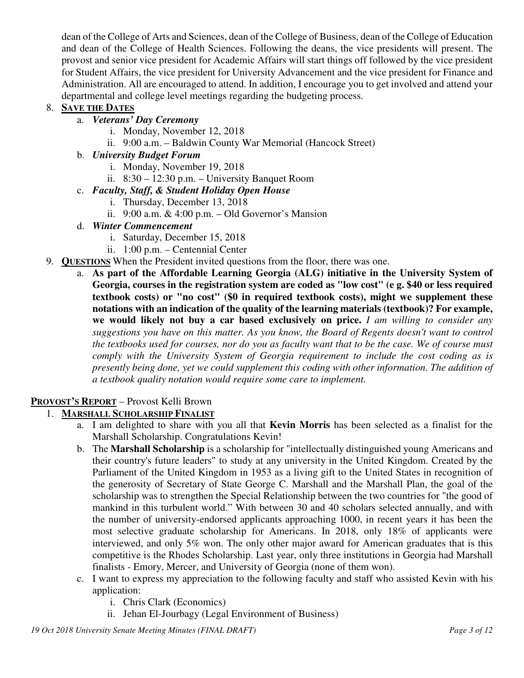dean of the College of Arts and Sciences, dean of the College of Business, dean of the College of Education and dean of the College of Health Sciences. Following the deans, the vice presidents will present. The provost and senior vice president for Academic Affairs will start things off followed by the vice president for Student Affairs, the vice president for University Advancement and the vice president for Finance and Administration. All are encouraged to attend. In addition, I encourage you to get involved and attend your departmental and college level meetings regarding the budgeting process.

## 8. **SAVE THE DATES**

- a. *Veterans' Day Ceremony*
	- i. Monday, November 12, 2018
	- ii. 9:00 a.m. Baldwin County War Memorial (Hancock Street)
- b. *University Budget Forum*
	- i. Monday, November 19, 2018
	- ii. 8:30 12:30 p.m. University Banquet Room

## c. *Faculty, Staff, & Student Holiday Open House*

- i. Thursday, December 13, 2018
- ii.  $9:00$  a.m. & 4:00 p.m. Old Governor's Mansion
- d. *Winter Commencement*
	- i. Saturday, December 15, 2018
	- ii. 1:00 p.m. Centennial Center
- 9. **QUESTIONS** When the President invited questions from the floor, there was one.
	- a. **As part of the Affordable Learning Georgia (ALG) initiative in the University System of Georgia, courses in the registration system are coded as "low cost" (e g. \$40 or less required textbook costs) or "no cost" (\$0 in required textbook costs), might we supplement these notations with an indication of the quality of the learning materials (textbook)? For example, we would likely not buy a car based exclusively on price.** *I am willing to consider any suggestions you have on this matter. As you know, the Board of Regents doesn't want to control the textbooks used for courses, nor do you as faculty want that to be the case. We of course must comply with the University System of Georgia requirement to include the cost coding as is presently being done, yet we could supplement this coding with other information. The addition of a textbook quality notation would require some care to implement.*

# **PROVOST'S REPORT** – Provost Kelli Brown

## 1. **MARSHALL SCHOLARSHIP FINALIST**

- a. I am delighted to share with you all that **Kevin Morris** has been selected as a finalist for the Marshall Scholarship. Congratulations Kevin!
- b. The **Marshall Scholarship** is a scholarship for "intellectually distinguished young Americans and their country's future leaders" to study at any university in the United Kingdom. Created by the Parliament of the United Kingdom in 1953 as a living gift to the United States in recognition of the generosity of Secretary of State George C. Marshall and the Marshall Plan, the goal of the scholarship was to strengthen the Special Relationship between the two countries for "the good of mankind in this turbulent world." With between 30 and 40 scholars selected annually, and with the number of university-endorsed applicants approaching 1000, in recent years it has been the most selective graduate scholarship for Americans. In 2018, only 18% of applicants were interviewed, and only 5% won. The only other major award for American graduates that is this competitive is the Rhodes Scholarship. Last year, only three institutions in Georgia had Marshall finalists - Emory, Mercer, and University of Georgia (none of them won).
- c. I want to express my appreciation to the following faculty and staff who assisted Kevin with his application:
	- i. Chris Clark (Economics)
	- ii. Jehan El-Jourbagy (Legal Environment of Business)

*19 Oct 2018 University Senate Meeting Minutes (FINAL DRAFT) Page 3 of 12*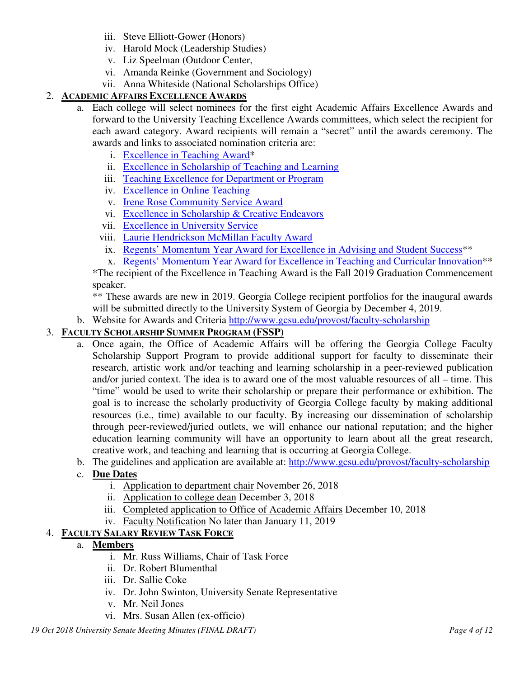- iii. Steve Elliott-Gower (Honors)
- iv. Harold Mock (Leadership Studies)
- v. Liz Speelman (Outdoor Center,
- vi. Amanda Reinke (Government and Sociology)
- vii. Anna Whiteside (National Scholarships Office)

## 2. **ACADEMIC AFFAIRS EXCELLENCE AWARDS**

- a. Each college will select nominees for the first eight Academic Affairs Excellence Awards and forward to the University Teaching Excellence Awards committees, which select the recipient for each award category. Award recipients will remain a "secret" until the awards ceremony. The awards and links to associated nomination criteria are:
	- i. Excellence in Teaching Award\*
	- ii. Excellence in Scholarship of Teaching and Learning
	- iii. Teaching Excellence for Department or Program
	- iv. Excellence in Online Teaching
	- v. Irene Rose Community Service Award
	- vi. Excellence in Scholarship & Creative Endeavors
	- vii. Excellence in University Service
	- viii. Laurie Hendrickson McMillan Faculty Award
	- ix. Regents' Momentum Year Award for Excellence in Advising and Student Success\*\*
	- x. Regents' Momentum Year Award for Excellence in Teaching and Curricular Innovation\*\*

\*The recipient of the Excellence in Teaching Award is the Fall 2019 Graduation Commencement speaker.

\*\* These awards are new in 2019. Georgia College recipient portfolios for the inaugural awards will be submitted directly to the University System of Georgia by December 4, 2019.

b. Website for Awards and Criteria http://www.gcsu.edu/provost/faculty-scholarship

## 3. **FACULTY SCHOLARSHIP SUMMER PROGRAM (FSSP)**

- a. Once again, the Office of Academic Affairs will be offering the Georgia College Faculty Scholarship Support Program to provide additional support for faculty to disseminate their research, artistic work and/or teaching and learning scholarship in a peer-reviewed publication and/or juried context. The idea is to award one of the most valuable resources of all – time. This "time" would be used to write their scholarship or prepare their performance or exhibition. The goal is to increase the scholarly productivity of Georgia College faculty by making additional resources (i.e., time) available to our faculty. By increasing our dissemination of scholarship through peer-reviewed/juried outlets, we will enhance our national reputation; and the higher education learning community will have an opportunity to learn about all the great research, creative work, and teaching and learning that is occurring at Georgia College.
- b. The guidelines and application are available at: http://www.gcsu.edu/provost/faculty-scholarship
- c. **Due Dates**
	- i. Application to department chair November 26, 2018
	- ii. Application to college dean December 3, 2018
	- iii. Completed application to Office of Academic Affairs December 10, 2018
	- iv. Faculty Notification No later than January 11, 2019

# 4. **FACULTY SALARY REVIEW TASK FORCE**

## a. **Members**

- i. Mr. Russ Williams, Chair of Task Force
- ii. Dr. Robert Blumenthal
- iii. Dr. Sallie Coke
- iv. Dr. John Swinton, University Senate Representative
- v. Mr. Neil Jones
- vi. Mrs. Susan Allen (ex-officio)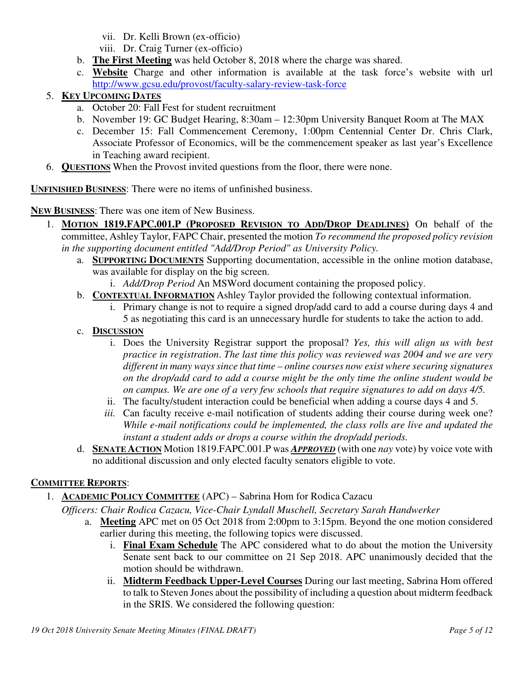- vii. Dr. Kelli Brown (ex-officio)
- viii. Dr. Craig Turner (ex-officio)
- b. **The First Meeting** was held October 8, 2018 where the charge was shared.
- c. **Website** Charge and other information is available at the task force's website with url http://www.gcsu.edu/provost/faculty-salary-review-task-force

## 5. **KEY UPCOMING DATES**

- a. October 20: Fall Fest for student recruitment
- b. November 19: GC Budget Hearing, 8:30am 12:30pm University Banquet Room at The MAX
- c. December 15: Fall Commencement Ceremony, 1:00pm Centennial Center Dr. Chris Clark, Associate Professor of Economics, will be the commencement speaker as last year's Excellence in Teaching award recipient.
- 6. **QUESTIONS** When the Provost invited questions from the floor, there were none.

**UNFINISHED BUSINESS**: There were no items of unfinished business.

**NEW BUSINESS**: There was one item of New Business.

- 1. **MOTION 1819.FAPC.001.P (PROPOSED REVISION TO ADD/DROP DEADLINES)** On behalf of the committee, Ashley Taylor, FAPC Chair, presented the motion *To recommend the proposed policy revision in the supporting document entitled "Add/Drop Period" as University Policy.*
	- a. **SUPPORTING DOCUMENTS** Supporting documentation, accessible in the online motion database, was available for display on the big screen.
		- i. *Add/Drop Period* An MSWord document containing the proposed policy.
	- b. **CONTEXTUAL INFORMATION** Ashley Taylor provided the following contextual information.
		- i. Primary change is not to require a signed drop/add card to add a course during days 4 and 5 as negotiating this card is an unnecessary hurdle for students to take the action to add.
	- c. **DISCUSSION**
		- i. Does the University Registrar support the proposal? *Yes, this will align us with best practice in registration*. *The last time this policy was reviewed was 2004 and we are very different in many ways since that time – online courses now exist where securing signatures on the drop/add card to add a course might be the only time the online student would be on campus. We are one of a very few schools that require signatures to add on days 4/5.*
		- ii. The faculty/student interaction could be beneficial when adding a course days 4 and 5.
		- *iii.* Can faculty receive e-mail notification of students adding their course during week one? *While e-mail notifications could be implemented, the class rolls are live and updated the instant a student adds or drops a course within the drop/add periods.*
	- d. **SENATE ACTION** Motion 1819.FAPC.001.P was *APPROVED* (with one *nay* vote) by voice vote with no additional discussion and only elected faculty senators eligible to vote.

## **COMMITTEE REPORTS**:

1. **ACADEMIC POLICY COMMITTEE** (APC) – Sabrina Hom for Rodica Cazacu

*Officers: Chair Rodica Cazacu, Vice-Chair Lyndall Muschell, Secretary Sarah Handwerker*

- a. **Meeting** APC met on 05 Oct 2018 from 2:00pm to 3:15pm. Beyond the one motion considered earlier during this meeting, the following topics were discussed.
	- i. **Final Exam Schedule** The APC considered what to do about the motion the University Senate sent back to our committee on 21 Sep 2018. APC unanimously decided that the motion should be withdrawn.
	- ii. **Midterm Feedback Upper-Level Courses** During our last meeting, Sabrina Hom offered to talk to Steven Jones about the possibility of including a question about midterm feedback in the SRIS. We considered the following question: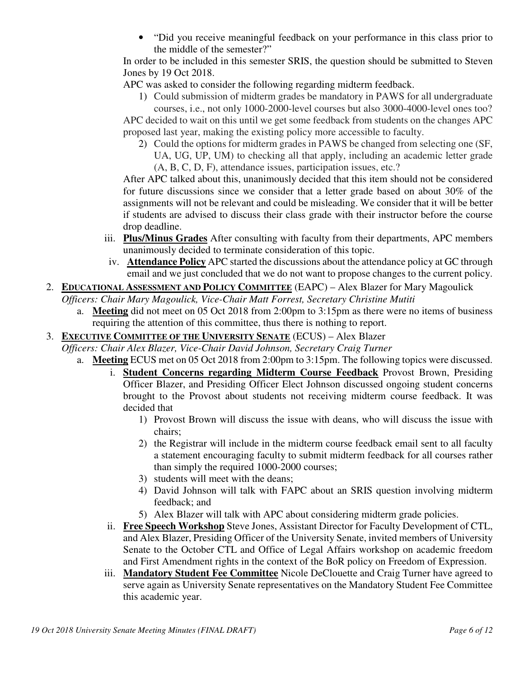• "Did you receive meaningful feedback on your performance in this class prior to the middle of the semester?"

In order to be included in this semester SRIS, the question should be submitted to Steven Jones by 19 Oct 2018.

APC was asked to consider the following regarding midterm feedback.

1) Could submission of midterm grades be mandatory in PAWS for all undergraduate

courses, i.e., not only 1000-2000-level courses but also 3000-4000-level ones too? APC decided to wait on this until we get some feedback from students on the changes APC proposed last year, making the existing policy more accessible to faculty.

2) Could the options for midterm grades in PAWS be changed from selecting one (SF, UA, UG, UP, UM) to checking all that apply, including an academic letter grade (A, B, C, D, F), attendance issues, participation issues, etc.?

After APC talked about this, unanimously decided that this item should not be considered for future discussions since we consider that a letter grade based on about 30% of the assignments will not be relevant and could be misleading. We consider that it will be better if students are advised to discuss their class grade with their instructor before the course drop deadline.

- iii. **Plus/Minus Grades** After consulting with faculty from their departments, APC members unanimously decided to terminate consideration of this topic.
- iv. **Attendance Policy** APC started the discussions about the attendance policy at GC through email and we just concluded that we do not want to propose changes to the current policy.
- 2. **EDUCATIONAL ASSESSMENT AND POLICY COMMITTEE** (EAPC) Alex Blazer for Mary Magoulick

*Officers: Chair Mary Magoulick, Vice-Chair Matt Forrest, Secretary Christine Mutiti* 

- a. **Meeting** did not meet on 05 Oct 2018 from 2:00pm to 3:15pm as there were no items of business requiring the attention of this committee, thus there is nothing to report.
- 3. **EXECUTIVE COMMITTEE OF THE UNIVERSITY SENATE** (ECUS) Alex Blazer

*Officers: Chair Alex Blazer, Vice-Chair David Johnson, Secretary Craig Turner*

- a. **Meeting** ECUS met on 05 Oct 2018 from 2:00pm to 3:15pm. The following topics were discussed.
	- i. **Student Concerns regarding Midterm Course Feedback** Provost Brown, Presiding Officer Blazer, and Presiding Officer Elect Johnson discussed ongoing student concerns brought to the Provost about students not receiving midterm course feedback. It was decided that
		- 1) Provost Brown will discuss the issue with deans, who will discuss the issue with chairs;
		- 2) the Registrar will include in the midterm course feedback email sent to all faculty a statement encouraging faculty to submit midterm feedback for all courses rather than simply the required 1000-2000 courses;
		- 3) students will meet with the deans;
		- 4) David Johnson will talk with FAPC about an SRIS question involving midterm feedback; and
		- 5) Alex Blazer will talk with APC about considering midterm grade policies.
	- ii. **Free Speech Workshop** Steve Jones, Assistant Director for Faculty Development of CTL, and Alex Blazer, Presiding Officer of the University Senate, invited members of University Senate to the October CTL and Office of Legal Affairs workshop on academic freedom and First Amendment rights in the context of the BoR policy on Freedom of Expression.
	- iii. **Mandatory Student Fee Committee** Nicole DeClouette and Craig Turner have agreed to serve again as University Senate representatives on the Mandatory Student Fee Committee this academic year.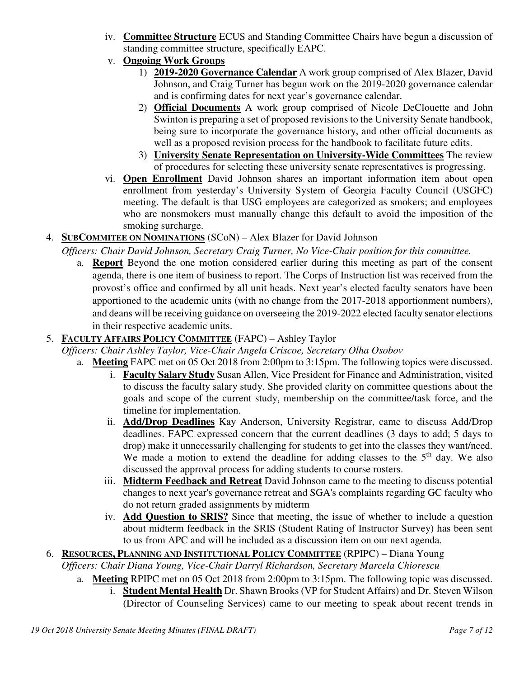- iv. **Committee Structure** ECUS and Standing Committee Chairs have begun a discussion of standing committee structure, specifically EAPC.
- v. **Ongoing Work Groups**
	- 1) **2019-2020 Governance Calendar** A work group comprised of Alex Blazer, David Johnson, and Craig Turner has begun work on the 2019-2020 governance calendar and is confirming dates for next year's governance calendar.
	- 2) **Official Documents** A work group comprised of Nicole DeClouette and John Swinton is preparing a set of proposed revisions to the University Senate handbook, being sure to incorporate the governance history, and other official documents as well as a proposed revision process for the handbook to facilitate future edits.
	- 3) **University Senate Representation on University-Wide Committees** The review of procedures for selecting these university senate representatives is progressing.
- vi. **Open Enrollment** David Johnson shares an important information item about open enrollment from yesterday's University System of Georgia Faculty Council (USGFC) meeting. The default is that USG employees are categorized as smokers; and employees who are nonsmokers must manually change this default to avoid the imposition of the smoking surcharge.

# 4. **SUBCOMMITEE ON NOMINATIONS** (SCoN) – Alex Blazer for David Johnson

*Officers: Chair David Johnson, Secretary Craig Turner, No Vice-Chair position for this committee.*

a. **Report** Beyond the one motion considered earlier during this meeting as part of the consent agenda, there is one item of business to report. The Corps of Instruction list was received from the provost's office and confirmed by all unit heads. Next year's elected faculty senators have been apportioned to the academic units (with no change from the 2017-2018 apportionment numbers), and deans will be receiving guidance on overseeing the 2019-2022 elected faculty senator elections in their respective academic units.

# 5. **FACULTY AFFAIRS POLICY COMMITTEE** (FAPC) – Ashley Taylor

- *Officers: Chair Ashley Taylor, Vice-Chair Angela Criscoe, Secretary Olha Osobov*
	- a. **Meeting** FAPC met on 05 Oct 2018 from 2:00pm to 3:15pm. The following topics were discussed.
		- i. **Faculty Salary Study** Susan Allen, Vice President for Finance and Administration, visited to discuss the faculty salary study. She provided clarity on committee questions about the goals and scope of the current study, membership on the committee/task force, and the timeline for implementation.
		- ii. **Add/Drop Deadlines** Kay Anderson, University Registrar, came to discuss Add/Drop deadlines. FAPC expressed concern that the current deadlines (3 days to add; 5 days to drop) make it unnecessarily challenging for students to get into the classes they want/need. We made a motion to extend the deadline for adding classes to the  $5<sup>th</sup>$  day. We also discussed the approval process for adding students to course rosters.
		- iii. **Midterm Feedback and Retreat** David Johnson came to the meeting to discuss potential changes to next year's governance retreat and SGA's complaints regarding GC faculty who do not return graded assignments by midterm
		- iv. **Add Question to SRIS?** Since that meeting, the issue of whether to include a question about midterm feedback in the SRIS (Student Rating of Instructor Survey) has been sent to us from APC and will be included as a discussion item on our next agenda.

## 6. **RESOURCES, PLANNING AND INSTITUTIONAL POLICY COMMITTEE** (RPIPC) – Diana Young *Officers: Chair Diana Young, Vice-Chair Darryl Richardson, Secretary Marcela Chiorescu*

- a. **Meeting** RPIPC met on 05 Oct 2018 from 2:00pm to 3:15pm. The following topic was discussed.
	- i. **Student Mental Health** Dr. Shawn Brooks (VP for Student Affairs) and Dr. Steven Wilson (Director of Counseling Services) came to our meeting to speak about recent trends in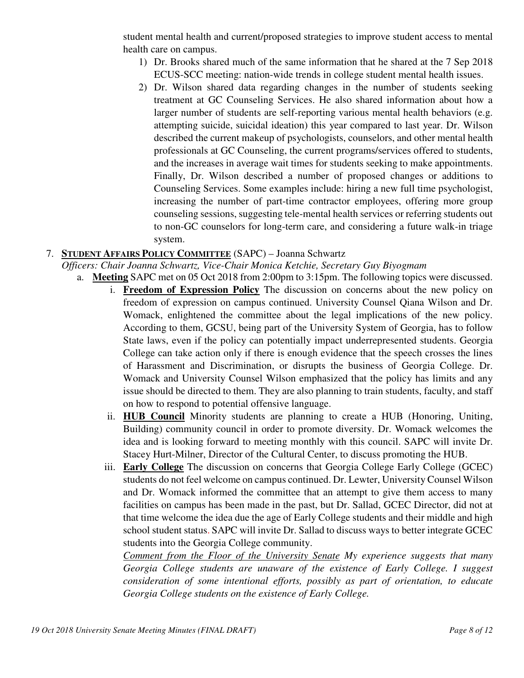student mental health and current/proposed strategies to improve student access to mental health care on campus.

- 1) Dr. Brooks shared much of the same information that he shared at the 7 Sep 2018 ECUS-SCC meeting: nation-wide trends in college student mental health issues.
- 2) Dr. Wilson shared data regarding changes in the number of students seeking treatment at GC Counseling Services. He also shared information about how a larger number of students are self-reporting various mental health behaviors (e.g. attempting suicide, suicidal ideation) this year compared to last year. Dr. Wilson described the current makeup of psychologists, counselors, and other mental health professionals at GC Counseling, the current programs/services offered to students, and the increases in average wait times for students seeking to make appointments. Finally, Dr. Wilson described a number of proposed changes or additions to Counseling Services. Some examples include: hiring a new full time psychologist, increasing the number of part-time contractor employees, offering more group counseling sessions, suggesting tele-mental health services or referring students out to non-GC counselors for long-term care, and considering a future walk-in triage system.

#### 7. **STUDENT AFFAIRS POLICY COMMITTEE** (SAPC) – Joanna Schwartz

- *Officers: Chair Joanna Schwartz, Vice-Chair Monica Ketchie, Secretary Guy Biyogmam*
	- a. **Meeting** SAPC met on 05 Oct 2018 from 2:00pm to 3:15pm. The following topics were discussed.
		- i. **Freedom of Expression Policy** The discussion on concerns about the new policy on freedom of expression on campus continued. University Counsel Qiana Wilson and Dr. Womack, enlightened the committee about the legal implications of the new policy. According to them, GCSU, being part of the University System of Georgia, has to follow State laws, even if the policy can potentially impact underrepresented students. Georgia College can take action only if there is enough evidence that the speech crosses the lines of Harassment and Discrimination, or disrupts the business of Georgia College. Dr. Womack and University Counsel Wilson emphasized that the policy has limits and any issue should be directed to them. They are also planning to train students, faculty, and staff on how to respond to potential offensive language.
		- ii. **HUB Council** Minority students are planning to create a HUB (Honoring, Uniting, Building) community council in order to promote diversity. Dr. Womack welcomes the idea and is looking forward to meeting monthly with this council. SAPC will invite Dr. Stacey Hurt-Milner, Director of the Cultural Center, to discuss promoting the HUB.
		- iii. **Early College** The discussion on concerns that Georgia College Early College (GCEC) students do not feel welcome on campus continued. Dr. Lewter, University Counsel Wilson and Dr. Womack informed the committee that an attempt to give them access to many facilities on campus has been made in the past, but Dr. Sallad, GCEC Director, did not at that time welcome the idea due the age of Early College students and their middle and high school student status. SAPC will invite Dr. Sallad to discuss ways to better integrate GCEC students into the Georgia College community.

*Comment from the Floor of the University Senate My experience suggests that many Georgia College students are unaware of the existence of Early College. I suggest consideration of some intentional efforts, possibly as part of orientation, to educate Georgia College students on the existence of Early College.*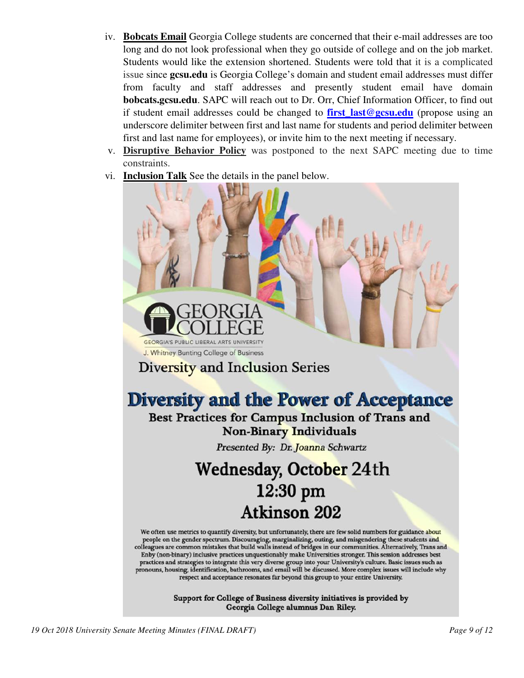- iv. **Bobcats Email** Georgia College students are concerned that their e-mail addresses are too long and do not look professional when they go outside of college and on the job market. Students would like the extension shortened. Students were told that it is a complicated issue since **gcsu.edu** is Georgia College's domain and student email addresses must differ from faculty and staff addresses and presently student email have domain **bobcats.gcsu.edu**. SAPC will reach out to Dr. Orr, Chief Information Officer, to find out if student email addresses could be changed to **first last@gcsu.edu** (propose using an underscore delimiter between first and last name for students and period delimiter between first and last name for employees), or invite him to the next meeting if necessary.
- v. **Disruptive Behavior Policy** was postponed to the next SAPC meeting due to time constraints.
- vi. **Inclusion Talk** See the details in the panel below.

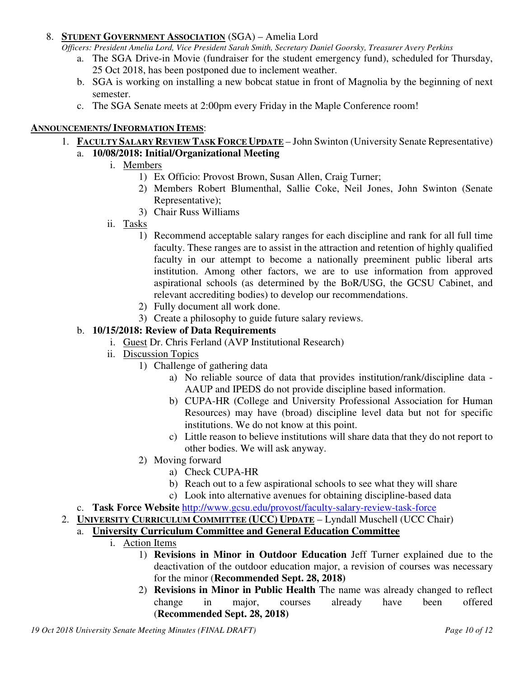#### 8. **STUDENT GOVERNMENT ASSOCIATION** (SGA) – Amelia Lord

*Officers: President Amelia Lord, Vice President Sarah Smith, Secretary Daniel Goorsky, Treasurer Avery Perkins* 

- a. The SGA Drive-in Movie (fundraiser for the student emergency fund), scheduled for Thursday, 25 Oct 2018, has been postponed due to inclement weather.
- b. SGA is working on installing a new bobcat statue in front of Magnolia by the beginning of next semester.
- c. The SGA Senate meets at 2:00pm every Friday in the Maple Conference room!

#### **ANNOUNCEMENTS/ INFORMATION ITEMS**:

- 1. **FACULTY SALARY REVIEW TASK FORCE UPDATE** John Swinton (University Senate Representative)
	- a. **10/08/2018: Initial/Organizational Meeting**
		- i. Members
			- 1) Ex Officio: Provost Brown, Susan Allen, Craig Turner;
			- 2) Members Robert Blumenthal, Sallie Coke, Neil Jones, John Swinton (Senate Representative);
			- 3) Chair Russ Williams
			- ii. Tasks
				- 1) Recommend acceptable salary ranges for each discipline and rank for all full time faculty. These ranges are to assist in the attraction and retention of highly qualified faculty in our attempt to become a nationally preeminent public liberal arts institution. Among other factors, we are to use information from approved aspirational schools (as determined by the BoR/USG, the GCSU Cabinet, and relevant accrediting bodies) to develop our recommendations.
				- 2) Fully document all work done.
				- 3) Create a philosophy to guide future salary reviews.

#### b. **10/15/2018: Review of Data Requirements**

- i. Guest Dr. Chris Ferland (AVP Institutional Research)
- ii. Discussion Topics
	- 1) Challenge of gathering data
		- a) No reliable source of data that provides institution/rank/discipline data AAUP and IPEDS do not provide discipline based information.
		- b) CUPA-HR (College and University Professional Association for Human Resources) may have (broad) discipline level data but not for specific institutions. We do not know at this point.
		- c) Little reason to believe institutions will share data that they do not report to other bodies. We will ask anyway.
	- 2) Moving forward
		- a) Check CUPA-HR
		- b) Reach out to a few aspirational schools to see what they will share
		- c) Look into alternative avenues for obtaining discipline-based data
- c. **Task Force Website** http://www.gcsu.edu/provost/faculty-salary-review-task-force
- 2. **UNIVERSITY CURRICULUM COMMITTEE (UCC) UPDATE** Lyndall Muschell (UCC Chair)

## a. **University Curriculum Committee and General Education Committee**

- i. Action Items
	- 1) **Revisions in Minor in Outdoor Education** Jeff Turner explained due to the deactivation of the outdoor education major, a revision of courses was necessary for the minor (**Recommended Sept. 28, 2018)**
	- 2) **Revisions in Minor in Public Health** The name was already changed to reflect change in major, courses already have been offered (**Recommended Sept. 28, 2018)**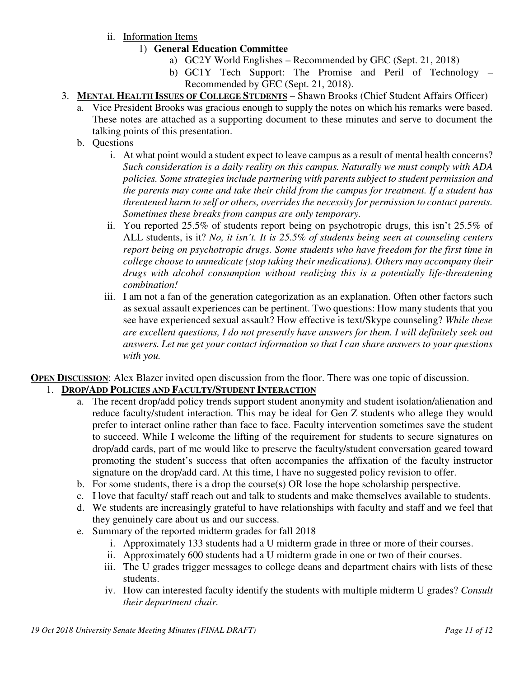- ii. Information Items
	- 1) **General Education Committee**
		- a) GC2Y World Englishes Recommended by GEC (Sept. 21, 2018)
		- b) GC1Y Tech Support: The Promise and Peril of Technology Recommended by GEC (Sept. 21, 2018).
- 3. **MENTAL HEALTH ISSUES OF COLLEGE STUDENTS** Shawn Brooks (Chief Student Affairs Officer)
	- a. Vice President Brooks was gracious enough to supply the notes on which his remarks were based. These notes are attached as a supporting document to these minutes and serve to document the talking points of this presentation.
	- b. Questions
		- i. At what point would a student expect to leave campus as a result of mental health concerns? *Such consideration is a daily reality on this campus. Naturally we must comply with ADA policies. Some strategies include partnering with parents subject to student permission and the parents may come and take their child from the campus for treatment. If a student has threatened harm to self or others, overrides the necessity for permission to contact parents. Sometimes these breaks from campus are only temporary.*
		- ii. You reported 25.5% of students report being on psychotropic drugs, this isn't 25.5% of ALL students, is it? *No, it isn't. It is 25.5% of students being seen at counseling centers report being on psychotropic drugs. Some students who have freedom for the first time in college choose to unmedicate (stop taking their medications). Others may accompany their drugs with alcohol consumption without realizing this is a potentially life-threatening combination!*
		- iii. I am not a fan of the generation categorization as an explanation. Often other factors such as sexual assault experiences can be pertinent. Two questions: How many students that you see have experienced sexual assault? How effective is text/Skype counseling? *While these are excellent questions, I do not presently have answers for them. I will definitely seek out answers. Let me get your contact information so that I can share answers to your questions with you.*

**OPEN DISCUSSION:** Alex Blazer invited open discussion from the floor. There was one topic of discussion.

## 1. **DROP/ADD POLICIES AND FACULTY/STUDENT INTERACTION**

- a. The recent drop/add policy trends support student anonymity and student isolation/alienation and reduce faculty/student interaction*.* This may be ideal for Gen Z students who allege they would prefer to interact online rather than face to face. Faculty intervention sometimes save the student to succeed. While I welcome the lifting of the requirement for students to secure signatures on drop/add cards, part of me would like to preserve the faculty/student conversation geared toward promoting the student's success that often accompanies the affixation of the faculty instructor signature on the drop/add card. At this time, I have no suggested policy revision to offer.
- b. For some students, there is a drop the course(s) OR lose the hope scholarship perspective.
- c. I love that faculty/ staff reach out and talk to students and make themselves available to students.
- d. We students are increasingly grateful to have relationships with faculty and staff and we feel that they genuinely care about us and our success.
- e. Summary of the reported midterm grades for fall 2018
	- i. Approximately 133 students had a U midterm grade in three or more of their courses.
	- ii. Approximately 600 students had a U midterm grade in one or two of their courses.
	- iii. The U grades trigger messages to college deans and department chairs with lists of these students.
	- iv. How can interested faculty identify the students with multiple midterm U grades? *Consult their department chair.*